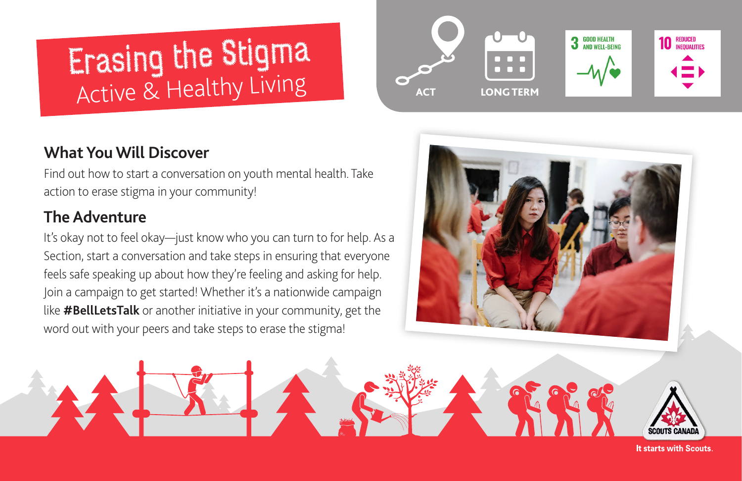# Erasing the Stigma Active & Healthy Living

# **What You Will Discover**

Find out how to start a conversation on youth mental health. Take action to erase stigma in your community!

# **The Adventure**

It's okay not to feel okay—just know who you can turn to for help. As a Section, start a conversation and take steps in ensuring that everyone feels safe speaking up about how they're feeling and asking for help. Join a campaign to get started! Whether it's a nationwide campaign like **[#BellLetsTalk](https://letstalk.bell.ca/en/)** or another initiative in your community, get the word out with your peers and take steps to erase the stigma!







**It starts with Scouts.**